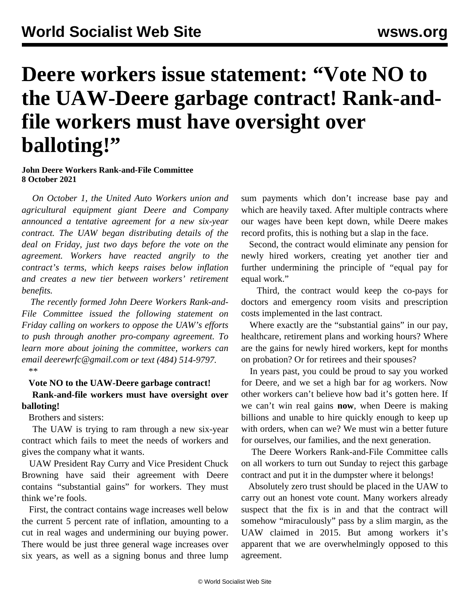## **Deere workers issue statement: "Vote NO to the UAW-Deere garbage contract! Rank-andfile workers must have oversight over balloting!"**

## **John Deere Workers Rank-and-File Committee 8 October 2021**

 *On October 1, the United Auto Workers union and agricultural equipment giant Deere and Company announced a tentative agreement for a new six-year contract. The UAW began distributing details of the deal on Friday, just two days before the vote on the agreement. Workers have reacted angrily to the contract's terms, which keeps raises below inflation and creates a new tier between workers' retirement benefits.*

 *The recently formed John Deere Workers Rank-and-File Committee issued the following statement on Friday calling on workers to oppose the UAW's efforts to push through another pro-company agreement. To learn more about joining the committee, workers can email [deerewrfc@gmail.com](mailto:deerewrfc@gmail.com) or text (484) 514-9797.*  $**$ 

## **Vote NO to the UAW-Deere garbage contract!**

 **Rank-and-file workers must have oversight over balloting!**

Brothers and sisters:

 The UAW is trying to ram through a new six-year contract which fails to meet the needs of workers and gives the company what it wants.

 UAW President Ray Curry and Vice President Chuck Browning have said their agreement with Deere contains "substantial gains" for workers. They must think we're fools.

 First, the contract contains wage increases well below the current 5 percent rate of inflation, amounting to a cut in real wages and undermining our buying power. There would be just three general wage increases over six years, as well as a signing bonus and three lump sum payments which don't increase base pay and which are heavily taxed. After multiple contracts where our wages have been kept down, while Deere makes record profits, this is nothing but a slap in the face.

 Second, the contract would eliminate any pension for newly hired workers, creating yet another tier and further undermining the principle of "equal pay for equal work."

 Third, the contract would keep the co-pays for doctors and emergency room visits and prescription costs implemented in the last contract.

 Where exactly are the "substantial gains" in our pay, healthcare, retirement plans and working hours? Where are the gains for newly hired workers, kept for months on probation? Or for retirees and their spouses?

 In years past, you could be proud to say you worked for Deere, and we set a high bar for ag workers. Now other workers can't believe how bad it's gotten here. If we can't win real gains **now**, when Deere is making billions and unable to hire quickly enough to keep up with orders, when can we? We must win a better future for ourselves, our families, and the next generation.

 The Deere Workers Rank-and-File Committee calls on all workers to turn out Sunday to reject this garbage contract and put it in the dumpster where it belongs!

 Absolutely zero trust should be placed in the UAW to carry out an honest vote count. Many workers already suspect that the fix is in and that the contract will somehow "miraculously" pass by a slim margin, as the UAW claimed in 2015. But among workers it's apparent that we are overwhelmingly opposed to this agreement.